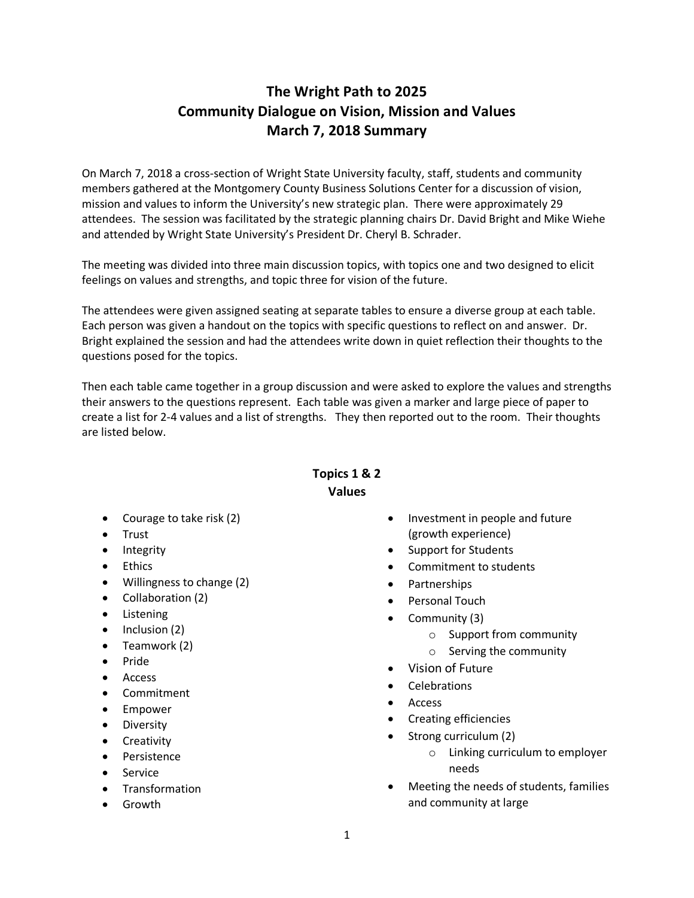## **The Wright Path to 2025 Community Dialogue on Vision, Mission and Values March 7, 2018 Summary**

On March 7, 2018 a cross-section of Wright State University faculty, staff, students and community members gathered at the Montgomery County Business Solutions Center for a discussion of vision, mission and values to inform the University's new strategic plan. There were approximately 29 attendees. The session was facilitated by the strategic planning chairs Dr. David Bright and Mike Wiehe and attended by Wright State University's President Dr. Cheryl B. Schrader.

The meeting was divided into three main discussion topics, with topics one and two designed to elicit feelings on values and strengths, and topic three for vision of the future.

The attendees were given assigned seating at separate tables to ensure a diverse group at each table. Each person was given a handout on the topics with specific questions to reflect on and answer. Dr. Bright explained the session and had the attendees write down in quiet reflection their thoughts to the questions posed for the topics.

Then each table came together in a group discussion and were asked to explore the values and strengths their answers to the questions represent. Each table was given a marker and large piece of paper to create a list for 2-4 values and a list of strengths. They then reported out to the room. Their thoughts are listed below.

## **Topics 1 & 2 Values**

- Courage to take risk (2)
- Trust
- Integrity
- Ethics
- Willingness to change (2)
- Collaboration (2)
- Listening
- Inclusion (2)
- Teamwork (2)
- Pride
- Access
- Commitment
- Empower
- Diversity
- Creativity
- Persistence
- Service
- Transformation
- Growth
- Investment in people and future (growth experience)
- Support for Students
- Commitment to students
- Partnerships
- Personal Touch
- Community (3)
	- o Support from community
	- o Serving the community
- Vision of Future
- Celebrations
- Access
- Creating efficiencies
- Strong curriculum (2)
	- o Linking curriculum to employer needs
- Meeting the needs of students, families and community at large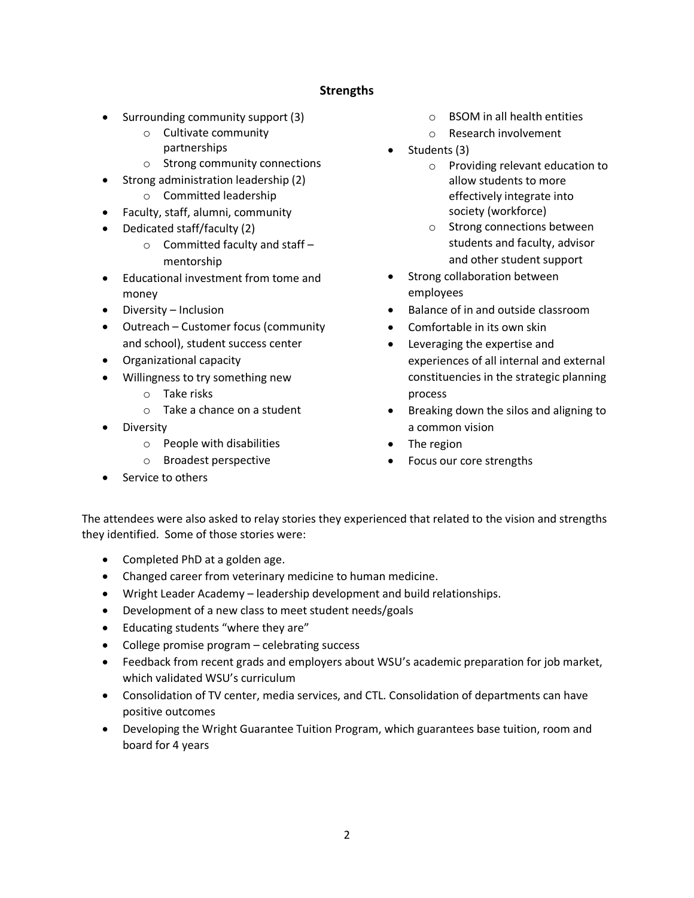## **Strengths**

- Surrounding community support (3)
	- o Cultivate community partnerships
	- o Strong community connections
- Strong administration leadership (2)
	- o Committed leadership
- Faculty, staff, alumni, community
- Dedicated staff/faculty (2)
	- $\circ$  Committed faculty and staff mentorship
- Educational investment from tome and money
- Diversity Inclusion
- Outreach Customer focus (community and school), student success center
- Organizational capacity
- Willingness to try something new
	- o Take risks
	- o Take a chance on a student
- Diversity
	- o People with disabilities
	- o Broadest perspective
- Service to others
- o BSOM in all health entities
- o Research involvement
- Students (3)
	- o Providing relevant education to allow students to more effectively integrate into society (workforce)
	- o Strong connections between students and faculty, advisor and other student support
- Strong collaboration between employees
- Balance of in and outside classroom
- Comfortable in its own skin
- Leveraging the expertise and experiences of all internal and external constituencies in the strategic planning process
- Breaking down the silos and aligning to a common vision
- The region
- Focus our core strengths

The attendees were also asked to relay stories they experienced that related to the vision and strengths they identified. Some of those stories were:

- Completed PhD at a golden age.
- Changed career from veterinary medicine to human medicine.
- Wright Leader Academy leadership development and build relationships.
- Development of a new class to meet student needs/goals
- Educating students "where they are"
- College promise program celebrating success
- Feedback from recent grads and employers about WSU's academic preparation for job market, which validated WSU's curriculum
- Consolidation of TV center, media services, and CTL. Consolidation of departments can have positive outcomes
- Developing the Wright Guarantee Tuition Program, which guarantees base tuition, room and board for 4 years